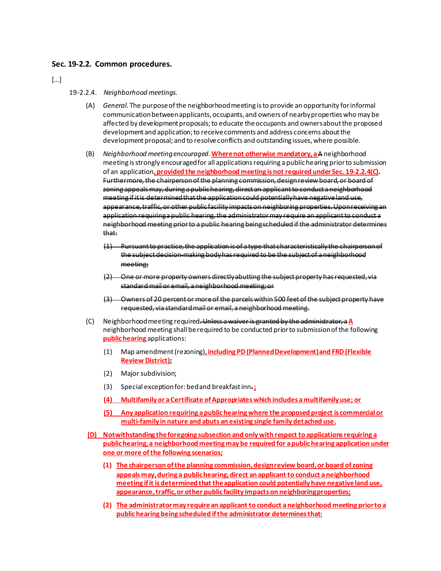## **Sec. 19-2.2. Common procedures.**

[…]

## 19-2.2.4. *Neighborhood meetings.*

- (A) *General.* The purpose of the neighborhood meeting is to provide an opportunity for informal communication between applicants, occupants, and owners of nearby properties who may be affected by development proposals; to educate the occupants and owners about the proposed development and application; to receive comments and address concerns about the development proposal; and to resolve conflicts and outstanding issues, where possible.
- (B) *Neighborhood meeting encouraged.***Where not otherwise mandatory, a** A neighborhood meeting is strongly encouraged for all applications requiring a public hearing prior to submission of an application**, provided the neighborhood meeting is not required under Sec. 19-2.2.4(C).** Furthermore, the chairperson of the planning commission, design review board, or board of zoning appeals may, during a public hearing, direct an applicant to conduct a neighborhood meeting if it is determined that the application could potentially have negative land use, appearance, traffic, or other public facility impacts on neighboring properties. Upon receiving an application requiring a public hearing, the administrator may require an applicant to conduct a neighborhood meeting prior to a public hearing being scheduled if the administrator determines that:
	- (1) Pursuant to practice, the application is of a type that characteristically the chairperson of the subject decision-making body has required to be the subject of a neighborhood meeting;
	- (2) One or more property owners directly abutting the subject property has requested, via standard mail or email, a neighborhood meeting; or
	- (3) Owners of 20 percent or more of the parcels within 500 feet of the subject property have requested, via standard mail or email, a neighborhood meeting.
- (C) Neighborhood meeting required. Unless a waiver is granted by the administrator, a**A**  neighborhood meeting shall be required to be conducted prior to submission of the following **public hearing** applications:
	- (1) Map amendment (rezoning)**, including PD (Planned Development) and FRD (Flexible Review District);**
	- (2) Major subdivision;
	- (3) Special exception for: bed and breakfast inn.**;**
	- **(4) Multifamily or a Certificate of Appropriates which includes a multifamily use; or**
	- **(5) Any application requiring a public hearing where the proposed project is commercial or multi-family in nature and abuts an existing single family detached use.**
- **(D) Notwithstanding the foregoing subsection and only with respect to applications requiring a public hearing, a neighborhood meeting may be required for a public hearing application under one or more of the following scenarios;** 
	- **(1) The chairperson of the planning commission, design review board, or board of zoning appeals may, during a public hearing, direct an applicant to conduct a neighborhood meeting if it is determined that the application could potentially have negative land use, appearance, traffic, or other public facility impacts on neighboring properties;**
	- **(2) The administrator may require an applicant to conduct a neighborhood meeting prior to a public hearing being scheduled if the administrator determines that:**